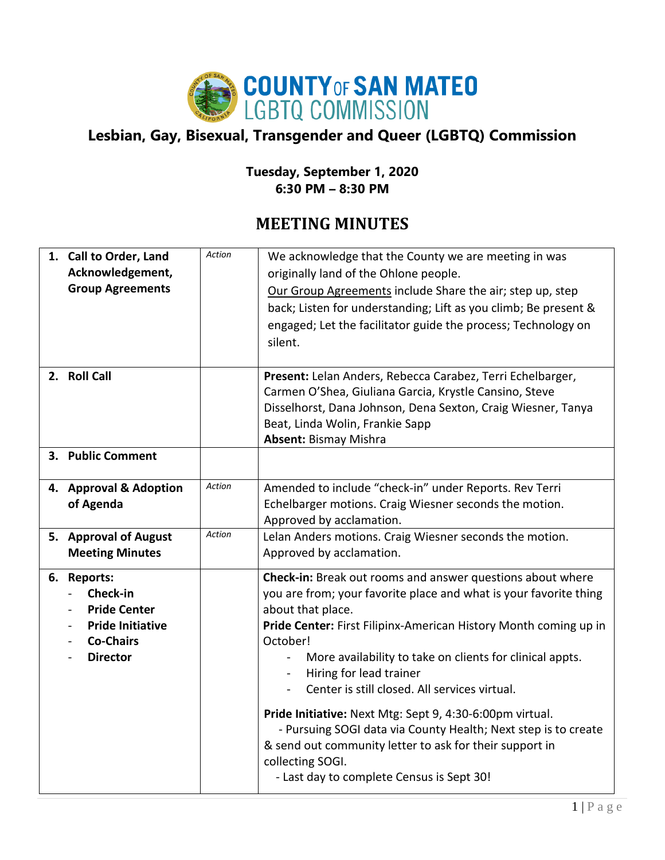

## **Lesbian, Gay, Bisexual, Transgender and Queer (LGBTQ) Commission**

## **Tuesday, September 1, 2020 6:30 PM – 8:30 PM**

## **MEETING MINUTES**

| 1. Call to Order, Land<br>Acknowledgement,<br><b>Group Agreements</b>                                            | Action        | We acknowledge that the County we are meeting in was<br>originally land of the Ohlone people.<br>Our Group Agreements include Share the air; step up, step<br>back; Listen for understanding; Lift as you climb; Be present &<br>engaged; Let the facilitator guide the process; Technology on<br>silent.                                                                                                                                                                                                                                                                                                                                                                         |
|------------------------------------------------------------------------------------------------------------------|---------------|-----------------------------------------------------------------------------------------------------------------------------------------------------------------------------------------------------------------------------------------------------------------------------------------------------------------------------------------------------------------------------------------------------------------------------------------------------------------------------------------------------------------------------------------------------------------------------------------------------------------------------------------------------------------------------------|
| 2. Roll Call                                                                                                     |               | Present: Lelan Anders, Rebecca Carabez, Terri Echelbarger,<br>Carmen O'Shea, Giuliana Garcia, Krystle Cansino, Steve<br>Disselhorst, Dana Johnson, Dena Sexton, Craig Wiesner, Tanya<br>Beat, Linda Wolin, Frankie Sapp<br><b>Absent: Bismay Mishra</b>                                                                                                                                                                                                                                                                                                                                                                                                                           |
| 3. Public Comment                                                                                                |               |                                                                                                                                                                                                                                                                                                                                                                                                                                                                                                                                                                                                                                                                                   |
| 4. Approval & Adoption<br>of Agenda                                                                              | <b>Action</b> | Amended to include "check-in" under Reports. Rev Terri<br>Echelbarger motions. Craig Wiesner seconds the motion.<br>Approved by acclamation.                                                                                                                                                                                                                                                                                                                                                                                                                                                                                                                                      |
| 5. Approval of August<br><b>Meeting Minutes</b>                                                                  | <b>Action</b> | Lelan Anders motions. Craig Wiesner seconds the motion.<br>Approved by acclamation.                                                                                                                                                                                                                                                                                                                                                                                                                                                                                                                                                                                               |
| 6. Reports:<br>Check-in<br><b>Pride Center</b><br><b>Pride Initiative</b><br><b>Co-Chairs</b><br><b>Director</b> |               | <b>Check-in:</b> Break out rooms and answer questions about where<br>you are from; your favorite place and what is your favorite thing<br>about that place.<br>Pride Center: First Filipinx-American History Month coming up in<br>October!<br>More availability to take on clients for clinical appts.<br>Hiring for lead trainer<br>$\blacksquare$<br>Center is still closed. All services virtual.<br>$\blacksquare$<br>Pride Initiative: Next Mtg: Sept 9, 4:30-6:00pm virtual.<br>- Pursuing SOGI data via County Health; Next step is to create<br>& send out community letter to ask for their support in<br>collecting SOGI.<br>- Last day to complete Census is Sept 30! |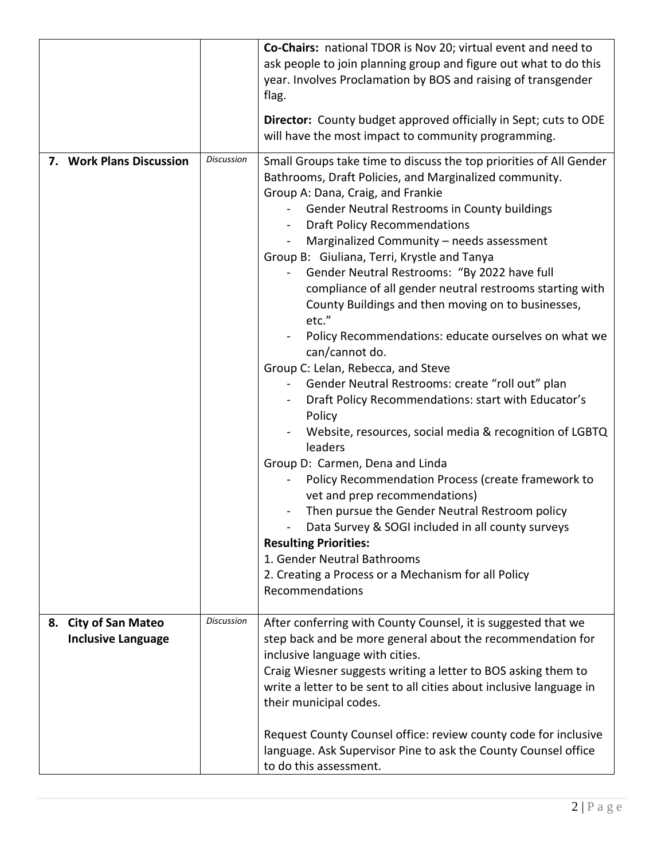|                                                   |                   | Co-Chairs: national TDOR is Nov 20; virtual event and need to<br>ask people to join planning group and figure out what to do this<br>year. Involves Proclamation by BOS and raising of transgender<br>flag.<br><b>Director:</b> County budget approved officially in Sept; cuts to ODE<br>will have the most impact to community programming.                                                                                                                                                                                                                                                                                                                                                                                                                                                                                                                                                                                                                                                                                                                                                                                                                                                                        |
|---------------------------------------------------|-------------------|----------------------------------------------------------------------------------------------------------------------------------------------------------------------------------------------------------------------------------------------------------------------------------------------------------------------------------------------------------------------------------------------------------------------------------------------------------------------------------------------------------------------------------------------------------------------------------------------------------------------------------------------------------------------------------------------------------------------------------------------------------------------------------------------------------------------------------------------------------------------------------------------------------------------------------------------------------------------------------------------------------------------------------------------------------------------------------------------------------------------------------------------------------------------------------------------------------------------|
| 7. Work Plans Discussion                          | <b>Discussion</b> | Small Groups take time to discuss the top priorities of All Gender<br>Bathrooms, Draft Policies, and Marginalized community.<br>Group A: Dana, Craig, and Frankie<br>Gender Neutral Restrooms in County buildings<br><b>Draft Policy Recommendations</b><br>Marginalized Community - needs assessment<br>Group B: Giuliana, Terri, Krystle and Tanya<br>Gender Neutral Restrooms: "By 2022 have full<br>compliance of all gender neutral restrooms starting with<br>County Buildings and then moving on to businesses,<br>etc."<br>Policy Recommendations: educate ourselves on what we<br>can/cannot do.<br>Group C: Lelan, Rebecca, and Steve<br>Gender Neutral Restrooms: create "roll out" plan<br>Draft Policy Recommendations: start with Educator's<br>Policy<br>Website, resources, social media & recognition of LGBTQ<br>leaders<br>Group D: Carmen, Dena and Linda<br>Policy Recommendation Process (create framework to<br>vet and prep recommendations)<br>Then pursue the Gender Neutral Restroom policy<br>Data Survey & SOGI included in all county surveys<br><b>Resulting Priorities:</b><br>1. Gender Neutral Bathrooms<br>2. Creating a Process or a Mechanism for all Policy<br>Recommendations |
| 8. City of San Mateo<br><b>Inclusive Language</b> | <b>Discussion</b> | After conferring with County Counsel, it is suggested that we<br>step back and be more general about the recommendation for<br>inclusive language with cities.<br>Craig Wiesner suggests writing a letter to BOS asking them to<br>write a letter to be sent to all cities about inclusive language in<br>their municipal codes.<br>Request County Counsel office: review county code for inclusive<br>language. Ask Supervisor Pine to ask the County Counsel office<br>to do this assessment.                                                                                                                                                                                                                                                                                                                                                                                                                                                                                                                                                                                                                                                                                                                      |